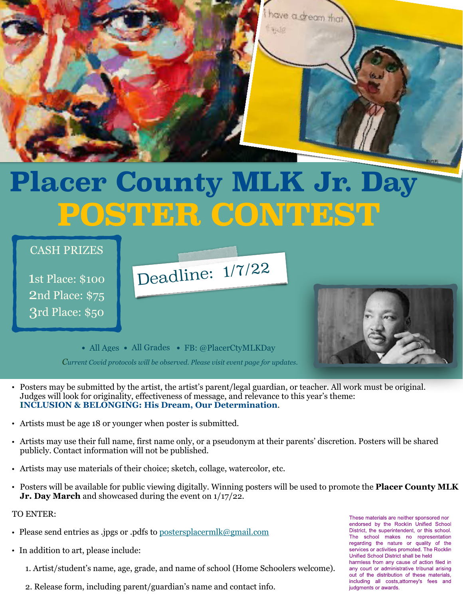

# **Placer County MLK Jr. Day POSTER CONTEST**

Deadline:  $1/7/22$ 

## CASH PRIZES

1st Place: \$100 2nd Place: \$75 3rd Place: \$50



• All Ages • All Grades • FB: @PlacerCtyMLKDay

*Current Covid protocols will be observed. Please visit event page for updates.*

- Posters may be submitted by the artist, the artist's parent/legal guardian, or teacher. All work must be original. Judges will look for originality, effectiveness of message, and relevance to this year's theme: **INCLUSION & BELONGING: His Dream, Our Determination**.
- Artists must be age 18 or younger when poster is submitted.
- Artists may use their full name, first name only, or a pseudonym at their parents' discretion. Posters will be shared publicly. Contact information will not be published.
- Artists may use materials of their choice; sketch, collage, watercolor, etc.
- Posters will be available for public viewing digitally. Winning posters will be used to promote the **Placer County MLK Jr. Day March** and showcased during the event on 1/17/22.

#### TO ENTER:

- Please send entries as .jpgs or .pdfs to [postersplacermlk@gmail.com](mailto:postersplacermlk@gmail.com)
- In addition to art, please include:
	- 1. Artist/student's name, age, grade, and name of school (Home Schoolers welcome).
	- 2. Release form, including parent/guardian's name and contact info.

These materials are neither sponsored nor endorsed by the Rocklin Unified School District, the superintendent, or this school. The school makes no representation regarding the nature or quality of the services or activities promoted. The Rocklin Unified School District shall be held harmless from any cause of action filed in any court or administrative tribunal arising out of the distribution of these materials, including all costs, attorney's fees and judaments or awards.